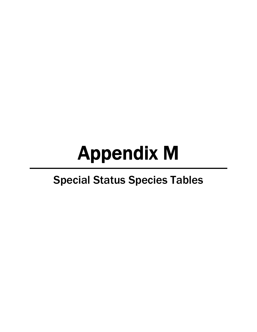# Appendix M

## Special Status Species Tables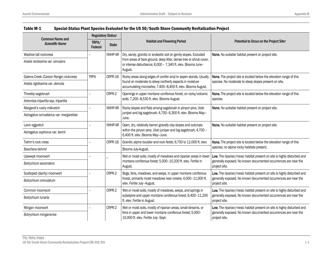|                                                  |                  | Regulatory Status <sup>1</sup> |                                                                                                                                                                       |                                                                                                                                                             |
|--------------------------------------------------|------------------|--------------------------------|-----------------------------------------------------------------------------------------------------------------------------------------------------------------------|-------------------------------------------------------------------------------------------------------------------------------------------------------------|
| <b>Common Name and</b><br><b>Scientific Name</b> | TRPA/<br>Federal | <b>State</b>                   | <b>Habitat and Flowering Period</b>                                                                                                                                   | Potential to Occur on the Project Site <sup>2</sup>                                                                                                         |
| Washoe tall rockcress                            |                  | NNHP-AR                        | Dry, sandy, granitic or andesitic soil on gently slopes. Excluded                                                                                                     | None. No suitable habitat present on project site.                                                                                                          |
| Arabis rectissima var. simulans                  |                  |                                | from areas of bare ground, deep litter, dense tree or shrub cover,<br>or intense disturbance; 6,000 - 7,340 ft. elev. Blooms June-<br>August.                         |                                                                                                                                                             |
| Galena Creek (Carson Range) rockcress            | <b>TRPA</b>      | CRPR-1B                        | Rocky areas along edges of conifer and/or aspen stands. Usually                                                                                                       | None. The project site is located below the elevation range of this                                                                                         |
| Arabis rigidissima var. demota                   |                  |                                | found on moderate to steep northerly aspects in moisture<br>accumulating microsites; 7,400-8,400 ft. elev. Blooms August.                                             | species. No moderate to steep slopes present on site.                                                                                                       |
| Threetip sagebrush                               |                  | CRPR-2                         | Openings in upper montane coniferous forest, on rocky/volcanic                                                                                                        | None. The project site is located below the elevation range of this                                                                                         |
| Artemisia tripartita ssp. tripartita             |                  |                                | soils; 7,200-8,530 ft. elev. Blooms August.                                                                                                                           | species.                                                                                                                                                    |
| Margaret's rushy milkvetch                       |                  | NNHP-AR                        | Rocky slopes and flats among sagebrush in pinyon pine, Utah<br>juniper and big sagebrush; 4,700-6,300 ft. elev. Blooms May-<br>June.                                  | None. No suitable habitat present on project site.                                                                                                          |
| Astragalus convallarius var. margaretiae         |                  |                                |                                                                                                                                                                       |                                                                                                                                                             |
| Lavin eggvetch                                   |                  | NNHP-AR                        | Open, dry, relatively barren gravelly clay slopes and outcrops<br>within the pinyon pine, Utah juniper and big sagebrush; 4,700 -<br>6,400 ft. elev. Blooms May-June. | None. No suitable habitat present on project site.                                                                                                          |
| Astragalus oophorus var. lavinii                 |                  |                                |                                                                                                                                                                       |                                                                                                                                                             |
| Tiehm's rock cress                               |                  | CRPR-1B                        | Granitic alpine boulder and rock fields; 9,700 to 12,000 ft. elev.                                                                                                    | None. The project site is located below the elevation range of this<br>species; no alpine rocky habitats present.                                           |
| Boechera tiehmii                                 |                  |                                | Blooms July-August.                                                                                                                                                   |                                                                                                                                                             |
| Upswept moonwort                                 |                  |                                | Wet or moist soils, mostly of meadows and riparian areas in lower<br>montane coniferous forest; 5,000-10,200 ft. elev. Fertile in<br>August.                          | Low. The riparian/mesic habitat present on site is highly disturbed and<br>generally exposed. No known documented occurrences are near the<br>project site. |
| Botrychium ascendens                             |                  |                                |                                                                                                                                                                       |                                                                                                                                                             |
| Scalloped (dainty) moonwort                      |                  | CRPR-2                         | Bogs, fens, meadows, and seeps, in upper montane coniferous<br>forest, primarily moist meadows near creeks; 4,000-11,000 ft.<br>elev. Fertile July-August.            | Low. The riparian/mesic habitat present on site is highly disturbed and<br>generally exposed. No known documented occurrences are near the<br>project site. |
| Botrychium crenulatum                            |                  |                                |                                                                                                                                                                       |                                                                                                                                                             |
| Common moonwort                                  |                  | CRPR-2                         | Wet or moist soils, mostly of meadows, seeps, and springs in                                                                                                          | Low. The riparian/mesic habitat present on site is highly disturbed and                                                                                     |
| Botrychium lunaria                               |                  |                                | subalpine and upper montane coniferous forest; 6,400-11,200<br>ft. elev. Fertile in August.                                                                           | generally exposed. No known documented occurrences are near the<br>project site.                                                                            |
| Mingan moonwort                                  |                  | CRPR-2                         | Wet or moist soils, mostly of riparian areas, small streams, or                                                                                                       | Low. The riparian/mesic habitat present on site is highly disturbed and                                                                                     |
| Botrychium minganense                            |                  |                                | fens in upper and lower montane coniferous forest; 5,000-<br>10,000 ft. elev. Fertile July-Sept.                                                                      | generally exposed. No known documented occurrences are near the<br>project site.                                                                            |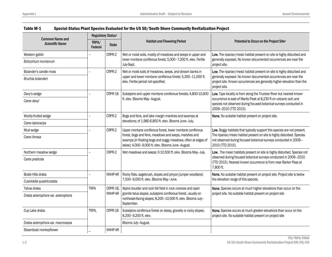|                                                  | Regulatory Status <sup>1</sup> |              |                                                                                                                                                                                                                                          |                                                                                                                                                                                                                               |
|--------------------------------------------------|--------------------------------|--------------|------------------------------------------------------------------------------------------------------------------------------------------------------------------------------------------------------------------------------------------|-------------------------------------------------------------------------------------------------------------------------------------------------------------------------------------------------------------------------------|
| <b>Common Name and</b><br><b>Scientific Name</b> | TRPA/<br>Federal               | <b>State</b> | <b>Habitat and Flowering Period</b>                                                                                                                                                                                                      | Potential to Occur on the Project Site <sup>2</sup>                                                                                                                                                                           |
| Western goblin                                   |                                | CRPR-2       | Wet or moist soils, mostly of meadows and seeps in upper and                                                                                                                                                                             | Low. The riparian/mesic habitat present on site is highly disturbed and                                                                                                                                                       |
| Botrychium montanum                              |                                |              | lower montane coniferous forest; 5,000-7,000 ft. elev. Fertile<br>July-Sept.                                                                                                                                                             | generally exposed. No known documented occurrences are near the<br>project site.                                                                                                                                              |
| Bolander's candle moss                           |                                | CRPR-2       | Wet or moist soils of meadows, seeps, and stream banks in                                                                                                                                                                                | Low. The riparian/mesic habitat present on site is highly disturbed and                                                                                                                                                       |
| Bruchia bolanderi                                |                                |              | upper and lower montane coniferous forest; 5,300-11,000 ft.<br>elev. Fertile period not specified.                                                                                                                                       | generally exposed. No known documented occurrences are near the<br>project site. Known occurrences are generally higher elevation than the<br>project site.                                                                   |
| Davy's sedge                                     |                                | CRPR-1B      | Subalpine and upper montane coniferous forests; 4,800-10,600                                                                                                                                                                             | Low. Type locality is from along the Truckee River but nearest known                                                                                                                                                          |
| Carex davyi                                      |                                |              | ft. elev. Blooms May-August.                                                                                                                                                                                                             | occurrence is east of Martis Peak at 8,230 ft on volcanic soil; and<br>species not observed during focused botanical surveys conducted in<br>2009-2010 (TTD 2015).                                                            |
| Woolly-fruited sedge                             |                                | CRPR-2       | Bogs and fens, and lake margin marshes and swamps at<br>elevations; of 1,980-6,850 ft. elev. Blooms June-July.                                                                                                                           | None. No suitable habitat present on project site.                                                                                                                                                                            |
| Carex lasiocarpa                                 |                                |              |                                                                                                                                                                                                                                          |                                                                                                                                                                                                                               |
| Mud sedge                                        |                                | CRPR-2       | Upper montane coniferous forest, lower montane coniferous<br>forest, bogs and fens, meadows and seeps, marshes and<br>swamps (in floating bogs and soggy meadows, often at edges of<br>lakes); 4,000-9,000 ft. elev. Blooms June-August. | Low. Boggy habitats that typically support this species are not present.                                                                                                                                                      |
| Carex limosa                                     |                                |              |                                                                                                                                                                                                                                          | The riparian/mesic habitat present on site is highly disturbed. Species<br>not observed during focused botanical surveys conducted in 2009-<br>2010 (TTD 2015).                                                               |
| Northern meadow sedge                            |                                | CRPR-2       | Wet meadows and seeps; 0-10,500 ft. elev. Blooms May-July.                                                                                                                                                                               | Low. The mesic habitats present on site is highly disturbed. Species not<br>observed during focused botanical surveys conducted in 2009-2010<br>(TTD 2015). Nearest known occurrence is from near Barker Pass at<br>7,800 ft. |
| Carex praticola                                  |                                |              |                                                                                                                                                                                                                                          |                                                                                                                                                                                                                               |
| Bodie Hills draba                                |                                | NNHP-AR      | Rocky flats, sagebrush, slopes and pinyon/juniper woodland;<br>7,500-9,000 ft. elev. Blooms May-June.                                                                                                                                    | None. No suitable habitat present on project site. Project site is below<br>the elevation range of this species.                                                                                                              |
| Cusickiella quadricostata                        |                                |              |                                                                                                                                                                                                                                          |                                                                                                                                                                                                                               |
| Tahoe draba                                      | <b>TRPA</b>                    | CRPR-1B,     | Alpine boulder and rock fell field in rock crevices and open                                                                                                                                                                             | None. Species occurs at much higher elevations than occur on the                                                                                                                                                              |
| Draba asterophora var. asterophora               |                                | NNHP-AR      | granite talus slopes, subalpine coniferous forest, usually on<br>northeast-facing slopes; 8,200-10,500 ft. elev. Blooms July-<br>September.                                                                                              | project site. No suitable habitat present on project site                                                                                                                                                                     |
| Cup Lake draba                                   | TRPA.                          | CRPR-1B      | Subalpine coniferous forest on steep, gravelly or rocky slopes;<br>8,200-9,200 ft. elev.                                                                                                                                                 | None. Species occurs at much greater elevations than occur on the<br>project site. No suitable habitat present on project site                                                                                                |
| Draba asterophora var. macrocarpa                |                                |              | Blooms July-August.                                                                                                                                                                                                                      |                                                                                                                                                                                                                               |
| Steamboat monkeyflower                           |                                | NNHP-AR      |                                                                                                                                                                                                                                          |                                                                                                                                                                                                                               |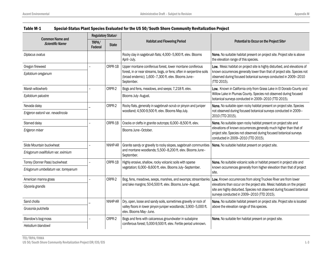| <b>Common Name and</b>               | Regulatory Status <sup>1</sup> |              |                                                                                                                                             |                                                                                                                                                                                                                                                                      |
|--------------------------------------|--------------------------------|--------------|---------------------------------------------------------------------------------------------------------------------------------------------|----------------------------------------------------------------------------------------------------------------------------------------------------------------------------------------------------------------------------------------------------------------------|
| <b>Scientific Name</b>               | TRPA/<br>Federal               | <b>State</b> | <b>Habitat and Flowering Period</b>                                                                                                         | Potential to Occur on the Project Site <sup>2</sup>                                                                                                                                                                                                                  |
| Diplacus ovatus                      |                                |              | Rocky clay in sagebrush flats; 4,000-5,900 ft. elev. Blooms<br>April-July.                                                                  | None. No suitable habitat present on project site. Project site is above<br>the elevation range of this species.                                                                                                                                                     |
| Oregon fireweed                      |                                | CRPR-1B      | Upper montane coniferous forest, lower montane coniferous                                                                                   | Low. Mesic habitat on project site is highly disturbed, and elevations of                                                                                                                                                                                            |
| Epilobium oreganum                   |                                |              | forest, in or near streams, bogs, or fens; often in serpentine soils<br>(broad endemic); 1,600-7,300 ft. elev. Blooms June-<br>September.   | known occurrences generally lower than that of project site. Species not<br>observed during focused botanical surveys conducted in 2009-2010<br>(TTD 2015).                                                                                                          |
| Marsh willowherb                     |                                | CRPR-2       | Bogs and fens, meadows, and seeps; 7,218 ft. elev.                                                                                          | Low. Known in California only from Grass Lake in El Dorado County and                                                                                                                                                                                                |
| Epilobium palustre                   |                                |              | Blooms July-August.                                                                                                                         | Willow Lake in Plumas County. Species not observed during focused<br>botanical surveys conducted in 2009-2010 (TTD 2015).                                                                                                                                            |
| Nevada daisy                         |                                | CRPR-2       | Rocky flats, generally in sagebrush scrub or pinyon and juniper<br>woodland; 4,500-9,500 ft. elev. Blooms May-July.                         | None. No suitable open rocky habitat present on project site. Species                                                                                                                                                                                                |
| Erigeron eatonii var. nevadincola    |                                |              |                                                                                                                                             | not observed during focused botanical surveys conducted in 2009-<br>2010 (TTD 2015).                                                                                                                                                                                 |
| Starved daisy                        |                                | CRPR-1B      | Cracks or clefts in granite outcrops; 6,000-8,500 ft. elev.                                                                                 | None. No suitable open rocky habitat present on project site and                                                                                                                                                                                                     |
| Erigeron miser                       |                                |              | Blooms June-October.                                                                                                                        | elevations of known occurrences generally much higher than that of<br>project site. Species not observed during focused botanical surveys<br>conducted in 2009-2010 (TTD 2015).                                                                                      |
| Slide Mountain buckwheat             |                                | NNHP-AR      | Granite sandy or gravelly to rocky slopes, sagebrush communities<br>and montane woodlands; 5,500-8,200 ft. elev. Blooms June-<br>September. | None. No suitable habitat present on project site.                                                                                                                                                                                                                   |
| Eriogonum ovalifolium var. eximium   |                                |              |                                                                                                                                             |                                                                                                                                                                                                                                                                      |
| Torrey (Donner Pass) buckwheat       |                                | CRPR-1B      | Highly erosive, shallow, rocky volcanic soils with sparse<br>vegetation; 6,000-8,600 ft. elev. Blooms July-September.                       | None. No suitable volcanic soils or habitat present in project site and<br>known occurrences generally from higher elevation than that of project<br>site.                                                                                                           |
| Eriogonum umbellatum var. torreyanum |                                |              |                                                                                                                                             |                                                                                                                                                                                                                                                                      |
| American manna grass                 |                                | CRPR-2       | Bog, fens, meadows, seeps, marshes, and swamps; streambanks                                                                                 | Low. Known occurrences from along Truckee River are from lower<br>elevations than occur on the project site. Mesic habitats on the project<br>site are highly disturbed. Species not observed during focused botanical<br>surveys conducted in 2009-2010 (TTD 2015). |
| Glyceria grandis                     |                                |              | and lake margins; 50-6,500 ft. elev. Blooms June-August.                                                                                    |                                                                                                                                                                                                                                                                      |
| Sand cholla                          |                                | NNHP-AR      | Dry, open, loose and sandy soils, sometimes gravelly or rock of                                                                             | None. No suitable habitat present on project site. Project site is located                                                                                                                                                                                           |
| Grusonia pulchella                   |                                |              | valley floors in lower pinyon-juniper woodlands; 3,900-5,000 ft.<br>elev. Blooms May-June.                                                  | above the elevation range of this species.                                                                                                                                                                                                                           |
| Blandow's bog-moss                   |                                | CRPR-2       | Bogs and fens with calcareous groundwater in subalpine                                                                                      | None. No suitable fen habitat present on project site.                                                                                                                                                                                                               |
| Helodium blandowii                   |                                |              | coniferous forest; 5,000-9,500 ft. elev. Fertile period unknown.                                                                            |                                                                                                                                                                                                                                                                      |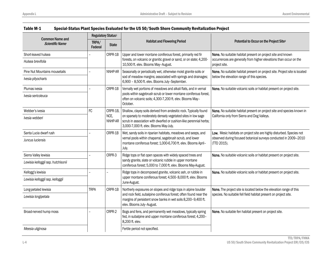| <b>Common Name and</b><br><b>Scientific Name</b> | Regulatory Status <sup>1</sup> |                 | <b>Habitat and Flowering Period</b>                                                                                                                                                                                                                 |                                                                                                                                                          |
|--------------------------------------------------|--------------------------------|-----------------|-----------------------------------------------------------------------------------------------------------------------------------------------------------------------------------------------------------------------------------------------------|----------------------------------------------------------------------------------------------------------------------------------------------------------|
|                                                  | TRPA/<br>Federal               | <b>State</b>    |                                                                                                                                                                                                                                                     | Potential to Occur on the Project Site <sup>2</sup>                                                                                                      |
| Short-leaved hulsea                              |                                | CRPR-1B         | Upper and lower montane coniferous forest, primarily red fir                                                                                                                                                                                        | None. No suitable habitat present on project site and known                                                                                              |
| Hulsea brevifolia                                |                                |                 | forests, on volcanic or granitic gravel or sand, or on slate; 4,200-<br>10,500 ft. elev. Blooms May-August.                                                                                                                                         | occurrences are generally from higher elevations than occur on the<br>project site.                                                                      |
| Pine Nut Mountains mousetails                    |                                | NNHP-AR         | Seasonally or periodically wet, otherwise moist granite soils or                                                                                                                                                                                    | None. No suitable habitat present on project site. Project site is located                                                                               |
| Ivesia pityocharis                               |                                |                 | sod of meadow margins; associated with springs and drainages;<br>6,900 - 8,500 ft. elev. Blooms July-September.                                                                                                                                     | below the elevation range of this species.                                                                                                               |
| Plumas ivesia                                    |                                | CRPR-1B         | Vernally wet portions of meadows and alkali flats, and in vernal                                                                                                                                                                                    | None. No suitable volcanic soils or habitat present on project site.                                                                                     |
| Ivesia sericoleuca                               |                                |                 | pools within sagebrush scrub or lower montane coniferous forest,<br>often on volcanic soils; 4,300-7,200 ft. elev. Blooms May-<br>October.                                                                                                          |                                                                                                                                                          |
| Webber's ivesia                                  | FC                             | CRPR-1B.        | Shallow, clayey soils derived from andesitic rock. Typically found<br>on sparsely to moderately densely vegetated sites in low sage<br>scrub in association with dwarfed or cushion-like perennial herbs;<br>3,000-7,000 ft. elev. Blooms May-July. | None. No suitable habitat present on project site and species known in<br>California only from Sierra and Dog Valleys.                                   |
| Ivesia webberi                                   |                                | NCE.<br>NNHP-AR |                                                                                                                                                                                                                                                     |                                                                                                                                                          |
| Santa Lucia dwarf rush                           |                                | CRPR-1B         | Wet, sandy soils in riparian habitats, meadows and seeps, and<br>vernal pools within chaparral, sagebrush scrub, and lower<br>montane coniferous forest; 1,000-6,700 ft. elev. Blooms April-<br>July.                                               | Low. Mesic habitats on project site are highly disturbed. Species not<br>observed during focused botanical surveys conducted in 2009-2010<br>(TTD 2015). |
| Juncus luciensis                                 |                                |                 |                                                                                                                                                                                                                                                     |                                                                                                                                                          |
| Sierra Valley lewisia                            |                                | CRPR-3          | Ridge tops or flat open spaces with widely spaced trees and<br>sandy granite, slate or volcanic rubble in upper montane<br>coniferous forest; 5,000 to 7,000 ft. elev. Blooms May-August.                                                           | None. No suitable volcanic soils or habitat present on project site.                                                                                     |
| Lewisia kelloggii ssp. hutchisonii               |                                |                 |                                                                                                                                                                                                                                                     |                                                                                                                                                          |
| Kellogg's lewisia                                |                                |                 | Ridge tops in decomposed granite, volcanic ash, or rubble in<br>upper montane coniferous forest; 4,500-8,000 ft. elev. Blooms<br>June-August.                                                                                                       | None. No suitable volcanic soils or habitat present on project site.                                                                                     |
| Lewisia kelloggii ssp. kelloggii                 |                                |                 |                                                                                                                                                                                                                                                     |                                                                                                                                                          |
| Long-petaled lewisia                             | <b>TRPA</b>                    | CRPR-1B         | Northerly exposures on slopes and ridge tops in alpine boulder                                                                                                                                                                                      | None. The project site is located below the elevation range of this<br>species. No suitable fell field habitat present on project site.                  |
| Lewisia longipetala                              |                                |                 | and rock field, subalpine coniferous forest; often found near the<br>margins of persistent snow banks in wet soils 8,200-9,400 ft.<br>elev. Blooms July-August.                                                                                     |                                                                                                                                                          |
| Broad-nerved hump moss                           |                                | CRPR-2          | Bogs and fens, and permanently wet meadows, typically spring<br>fed, in subalpine and upper montane coniferous forest; 4,200-<br>8,200 ft. elev.                                                                                                    | None. No suitable fen habitat present on project site.                                                                                                   |
| Meesia uliginosa                                 |                                |                 | Fertile period not specified.                                                                                                                                                                                                                       |                                                                                                                                                          |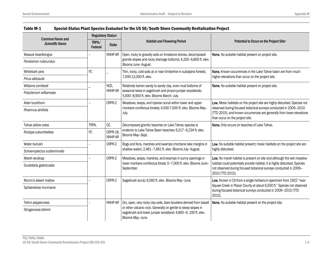| <b>Common Name and</b>       | Regulatory Status <sup>1</sup> |                    |                                                                                                                                                    |                                                                                                                                                                                                                                                           |
|------------------------------|--------------------------------|--------------------|----------------------------------------------------------------------------------------------------------------------------------------------------|-----------------------------------------------------------------------------------------------------------------------------------------------------------------------------------------------------------------------------------------------------------|
| <b>Scientific Name</b>       | TRPA/<br>Federal               | <b>State</b>       | <b>Habitat and Flowering Period</b>                                                                                                                | Potential to Occur on the Project Site <sup>2</sup>                                                                                                                                                                                                       |
| Wassuk beardtongue           |                                | NNHP-AR            | Open, rocky to gravelly soils on limestone shores, decomposed                                                                                      | None. No suitable habitat present on project site.                                                                                                                                                                                                        |
| Penstemon rubicundus         |                                |                    | granite slopes and rocky drainage bottoms; 4,200-6,800 ft. elev.<br>Blooms June-August.                                                            |                                                                                                                                                                                                                                                           |
| Whitebark pine               | FC                             |                    | Thin, rocky, cold soils at or near timberline in subalpine forests;                                                                                | None. Known occurrences in the Lake Tahoe basin are from much                                                                                                                                                                                             |
| Pinus albicaulis             |                                |                    | 7,000-12,000 ft. elev.                                                                                                                             | higher elevations than occur on the project site.                                                                                                                                                                                                         |
| Williams combleaf            |                                | NCE.               | Relatively barren sandy to sandy clay, even mud bottoms of                                                                                         | None. No suitable habitat present on project site.                                                                                                                                                                                                        |
| Polyctenium williamsiae      |                                | NNHP-AR            | seasonal lakes in sagebrush and pinyon-juniper woodlands;<br>5,600-8,900 ft. elev. Blooms March-July.                                              |                                                                                                                                                                                                                                                           |
| Alder buckthorn              |                                | CRPR-2             | Meadows, seeps, and riparian scrub within lower and upper<br>montane coniferous forests; 4,500-7,000 ft. elev. Blooms May-<br>July.                | Low. Mesic habitats on the project site are highly disturbed. Species not<br>observed during focused botanical surveys conducted in 2009-2010<br>(TTD 2015), and known occurrences are generally from lower elevations<br>than occur on the project site. |
| Rhamnus alnifolia            |                                |                    |                                                                                                                                                    |                                                                                                                                                                                                                                                           |
| Tahoe yellow cress           | TRPA.                          | CE.                | Decomposed granitic beaches on Lake Tahoe; species is                                                                                              | None. Only occurs on beaches of Lake Tahoe.                                                                                                                                                                                                               |
| Rorippa subumbellata         | FC                             | CRPR-1B<br>NNHP-AR | endemic to Lake Tahoe Basin beaches; 6,217-6,234 ft. elev.<br>Blooms May-Sept.                                                                     |                                                                                                                                                                                                                                                           |
| Water bulrush                |                                | CRPR-2             | Bogs and fens, marshes and swamps (montane lake margins in<br>shallow water); 2,461-7,661 ft. elev. Blooms July-August.                            | Low. No suitable habitat present; mesic habitats on the project site are<br>highly disturbed.                                                                                                                                                             |
| Schoenoplectus subterminalis |                                |                    |                                                                                                                                                    |                                                                                                                                                                                                                                                           |
| Marsh skullcap               |                                | CRPR-2             | Meadows, seeps, marshes, and swamps in sunny openings in<br>lower montane coniferous forest; 0-7,000 ft. elev. Blooms June-<br>September.          | Low. No marsh habitat is present on site and although the wet meadow<br>habitat could potentially provide habitat, it is highly disturbed. Species<br>not observed during focused botanical surveys conducted in 2009-<br>2010 (TTD 2015).                |
| Scutellaria galericulata     |                                |                    |                                                                                                                                                    |                                                                                                                                                                                                                                                           |
| Munro's desert mallow        |                                | CRPR-2             | Sagebrush scrub; 6,560 ft. elev. Blooms May-June.                                                                                                  | Low. Known in CA from a single herbarium specimen from 1922 "near                                                                                                                                                                                         |
| Sphaeralcea munroana         |                                |                    |                                                                                                                                                    | Squaw Creek in Placer County at about 6,500 ft." Species not observed<br>during focused botanical surveys conducted in 2009-2010 (TTD<br>2015).                                                                                                           |
| Tiehm peppercress            |                                | NNHP-AR            | Dry, open, very rocky clay soils, bare boulders derived from basalt                                                                                | None. No suitable habitat present on the project site.                                                                                                                                                                                                    |
| Stroganowia tiehmii          |                                |                    | or other volcanic rock. Generally on gentle to steep slopes in<br>sagebrush and lower juniper woodland; 4,800-6, 100 ft. elev.<br>Blooms May-June. |                                                                                                                                                                                                                                                           |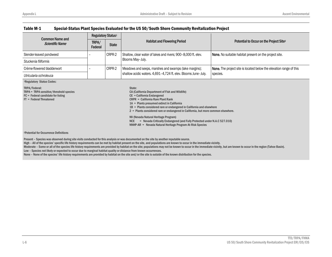#### Table M-1 Special-Status Plant Species Evaluated for the US 50/South Shore Community Revitalization Project Common Name and Scientific NameRegulatory Status<sup>1</sup>  $TRPA /$  State State Habitat and Flowering Period Potential to Occur on the Project Site<sup>2</sup> Federal Slender-leaved pondweed – CRPR-2 Shallow, clear water of lakes and rivers; 900–8,000 ft. elev. Blooms May–July. None. No suitable habitat present on the project site. *Stuckenia filiformis* Crème-flowered bladderwort  $\vert - \vert$  CRPR-2 Meadows and seeps, marshes and swamps (lake margins); shallow acidic waters. 4,691–4,724 ft. elev. Blooms June–July. species. *Utricularia ochroleuca* None. The project site is located below the elevation range of this 1Regulatory Status Codes: TRPA/Federal: TRPA = TRPA sensitive/threshold species FC = Federal candidate for listing FT = Federal Threatened State: CA (California Department of Fish and Wildlife) CE = California Endangered CRPR = California Rare Plant Rank 1A = Plants presumed extinct in California 1B = Plants considered rare or endangered in California and elsewhere 2 = Plants considered rare or endangered in California, but more common elsewhere. NV (Nevada Natural Heritage Program) NCE = Nevada Critically Endangered (and Fully Protected under N.A.C 527.010) NNHP-AR = Nevada Natural Heritage Program At-Risk Species 2Potential for Occurrence DefinitionsPresent – Species was observed during site visits conducted for this analysis or was documented on the site by another reputable source. High – All of the species' specific life history requirements can be met by habitat present on the site, and populations are known to occur in the immediate vicinity. Moderate - Some or all of the species life history requirements are provided by habitat on the site; populations may not be known to occur in the immediate vicinity, but are known to occur in the region (Tahoe Basin).

Low – Species not likely or expected to occur due to marginal habitat quality or distance from known occurrences.

None – None of the species' life history requirements are provided by habitat on the site and/or the site is outside of the known distribution for the species.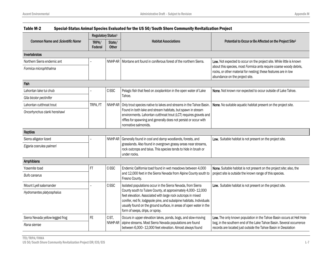|                                  | Regulatory Status <sup>1</sup> |                        |                                                                                                                                                                                                                                                                                                                |                                                                                                                                                                         |
|----------------------------------|--------------------------------|------------------------|----------------------------------------------------------------------------------------------------------------------------------------------------------------------------------------------------------------------------------------------------------------------------------------------------------------|-------------------------------------------------------------------------------------------------------------------------------------------------------------------------|
| Common Name and Scientific Name  | TRPA/<br>Federal               | State/<br><b>Other</b> | <b>Habitat Associations</b>                                                                                                                                                                                                                                                                                    | Potential to Occur or Be Affected on the Project Site <sup>2</sup>                                                                                                      |
| Invertebrates                    |                                |                        |                                                                                                                                                                                                                                                                                                                |                                                                                                                                                                         |
| Northern Sierra endemic ant      |                                |                        | NNHP-AR   Montane ant found in coniferous forest of the northern Sierra.                                                                                                                                                                                                                                       | Low. Not expected to occur on the project site. While little is known                                                                                                   |
| Formica microphthalma            |                                |                        |                                                                                                                                                                                                                                                                                                                | about this species, most Formica ants require coarse woody debris,<br>rocks, or other material for nesting; these features are in low<br>abundance on the project site. |
| Fish                             |                                |                        |                                                                                                                                                                                                                                                                                                                |                                                                                                                                                                         |
| Lahontan lake tui chub           |                                | C-SSC                  | Pelagic fish that feed on zooplankton in the open water of Lake                                                                                                                                                                                                                                                | None. Not known nor expected to occur outside of Lake Tahoe.                                                                                                            |
| Gila bicolor pectinifer          |                                |                        | Tahoe.                                                                                                                                                                                                                                                                                                         |                                                                                                                                                                         |
| Lahontan cutthroat trout         | TRPA, FT                       | NNHP-AR                | Only trout species native to lakes and streams in the Tahoe Basin.<br>Found in both lake and stream habitats, but spawn in stream<br>environments. Lahontan cutthroat trout (LCT) requires gravels and<br>riffles for spawning and generally does not persist or occur with<br>nonnative salmonids.            | None. No suitable aquatic habitat present on the project site.                                                                                                          |
| Oncorhynchus clarki henshawi     |                                |                        |                                                                                                                                                                                                                                                                                                                |                                                                                                                                                                         |
| <b>Reptiles</b>                  |                                |                        |                                                                                                                                                                                                                                                                                                                |                                                                                                                                                                         |
| Sierra alligator lizard          |                                | NNHP-AR                | Generally found in cool and damp woodlands, forests, and                                                                                                                                                                                                                                                       | Low. Suitable habitat is not present on the project site.                                                                                                               |
| Elgaria coerulea palmeri         |                                |                        | grasslands. Also found in overgrown grassy areas near streams,<br>rock outcrops and talus. This species tends to hide in brush or<br>under rocks.                                                                                                                                                              |                                                                                                                                                                         |
| Amphibians                       |                                |                        |                                                                                                                                                                                                                                                                                                                |                                                                                                                                                                         |
| Yosemite toad                    | FT                             | C-SSC                  | Endemic California toad found in wet meadows between 4,000                                                                                                                                                                                                                                                     | None. Suitable habitat is not present on the project site; also, the                                                                                                    |
| Bufo canarus                     |                                |                        | and 12,000 feet in the Sierra Nevada from Alpine County south to<br>Fresno County.                                                                                                                                                                                                                             | project site is outside the known range of this species.                                                                                                                |
| Mount Lyell salamander           |                                | C-SSC                  | Isolated populations occur in the Sierra Nevada, from Sierra                                                                                                                                                                                                                                                   | Low. Suitable habitat is not present on the project site.                                                                                                               |
| Hydromantes platycephalus        |                                |                        | County south to Tulare County, at approximately 4,000-12,000<br>feet elevation. Associated with large rock outcrops in mixed<br>conifer, red fir, lodgepole pine, and subalpine habitats. Individuals<br>usually found on the ground surface, in areas of open water in the<br>form of seeps, drips, or spray. |                                                                                                                                                                         |
| Sierra Nevada yellow-legged frog | FE.                            | C-ST,                  | Occurs in upper elevation lakes, ponds, bogs, and slow-moving                                                                                                                                                                                                                                                  | Low. The only known population in the Tahoe Basin occurs at Hell Hole                                                                                                   |
| Rana sierrae                     |                                | NNHP-AR                | alpine streams. Most Sierra Nevada populations are found<br>between 6,000-12,000 feet elevation. Almost always found                                                                                                                                                                                           | bog, in the southern end of the Lake Tahoe Basin. Several occurrence<br>records are located just outside the Tahoe Basin in Desolation                                  |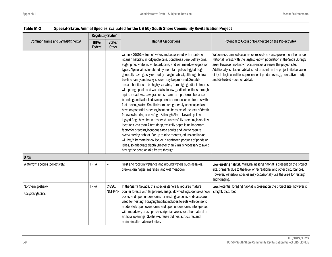|                                  | Regulatory Status <sup>1</sup> |                        |                                                                                                                                                                                                                                                                                                                                                                                                                                                                                                                                                                                                                                                                                                                                                                                                                                                                                                                                                                                                                                                                                                                                                                                                                                                                                                                                                         |                                                                                                                                                                                                                                                                                                                                                                                                             |
|----------------------------------|--------------------------------|------------------------|---------------------------------------------------------------------------------------------------------------------------------------------------------------------------------------------------------------------------------------------------------------------------------------------------------------------------------------------------------------------------------------------------------------------------------------------------------------------------------------------------------------------------------------------------------------------------------------------------------------------------------------------------------------------------------------------------------------------------------------------------------------------------------------------------------------------------------------------------------------------------------------------------------------------------------------------------------------------------------------------------------------------------------------------------------------------------------------------------------------------------------------------------------------------------------------------------------------------------------------------------------------------------------------------------------------------------------------------------------|-------------------------------------------------------------------------------------------------------------------------------------------------------------------------------------------------------------------------------------------------------------------------------------------------------------------------------------------------------------------------------------------------------------|
| Common Name and Scientific Name  | TRPA/<br>Federal               | State/<br><b>Other</b> | <b>Habitat Associations</b>                                                                                                                                                                                                                                                                                                                                                                                                                                                                                                                                                                                                                                                                                                                                                                                                                                                                                                                                                                                                                                                                                                                                                                                                                                                                                                                             | Potential to Occur or Be Affected on the Project Site <sup>2</sup>                                                                                                                                                                                                                                                                                                                                          |
|                                  |                                |                        | within 3.280853 feet of water, and associated with montane<br>riparian habitats in lodgepole pine, ponderosa pine, Jeffrey pine,<br>sugar pine, white fir, whitebark pine, and wet meadow vegetation<br>types. Alpine lakes inhabited by mountain yellow-legged frogs<br>generally have grassy or muddy margin habitat, although below<br>treeline sandy and rocky shores may be preferred. Suitable<br>stream habitat can be highly variable, from high gradient streams<br>with plunge pools and waterfalls, to low gradient sections through<br>alpine meadows. Low-gradient streams are preferred because<br>breeding and tadpole development cannot occur in streams with<br>fast-moving water. Small streams are generally unoccupied and<br>have no potential breeding locations because of the lack of depth<br>for overwintering and refuge. Although Sierra Nevada yellow-<br>legged frogs have been observed successfully breeding in shallow<br>locations less than 7 feet deep, typically depth is an important<br>factor for breeding locations since adults and larvae require<br>overwintering habitat. For up to nine months, adults and larvae<br>will live/hibernate below ice, or in nonfrozen portions of ponds or<br>lakes, so adequate depth (greater than 2 m) is necessary to avoid<br>having the pond or lake freeze through. | Wilderness. Limited occurrence records are also present on the Tahoe<br>National Forest, with the largest known population in the Soda Springs<br>area. However, no known occurrences are near the project site.<br>Additionally, suitable habitat is not present on the project site because<br>of hydrologic conditions, presence of predators (e.g., nonnative trout),<br>and disturbed aquatic habitat. |
| <b>Birds</b>                     |                                |                        |                                                                                                                                                                                                                                                                                                                                                                                                                                                                                                                                                                                                                                                                                                                                                                                                                                                                                                                                                                                                                                                                                                                                                                                                                                                                                                                                                         |                                                                                                                                                                                                                                                                                                                                                                                                             |
| Waterfowl species (collectively) | <b>TRPA</b>                    |                        | Nest and roost in wetlands and around waters such as lakes,<br>creeks, drainages, marshes, and wet meadows.                                                                                                                                                                                                                                                                                                                                                                                                                                                                                                                                                                                                                                                                                                                                                                                                                                                                                                                                                                                                                                                                                                                                                                                                                                             | Low - nesting habitat. Marginal nesting habitat is present on the project<br>site, primarily due to the level of recreational and other disturbances.<br>However, waterfowl species may occasionally use the area for resting<br>and foraging.                                                                                                                                                              |
| Northern goshawk                 | <b>TRPA</b>                    | C-SSC,                 | In the Sierra Nevada, this species generally requires mature                                                                                                                                                                                                                                                                                                                                                                                                                                                                                                                                                                                                                                                                                                                                                                                                                                                                                                                                                                                                                                                                                                                                                                                                                                                                                            | Low. Potential foraging habitat is present on the project site, however it                                                                                                                                                                                                                                                                                                                                  |
| Accipiter gentilis               |                                | NNHP-AR                | conifer forests with large trees, snags, downed logs, dense canopy<br>cover, and open understories for nesting; aspen stands also are<br>used for nesting. Foraging habitat includes forests with dense to<br>moderately open overstories and open understories interspersed<br>with meadows, brush patches, riparian areas, or other natural or<br>artificial openings. Goshawks reuse old nest structures and                                                                                                                                                                                                                                                                                                                                                                                                                                                                                                                                                                                                                                                                                                                                                                                                                                                                                                                                         | is highly disturbed.                                                                                                                                                                                                                                                                                                                                                                                        |

maintain alternate nest sites.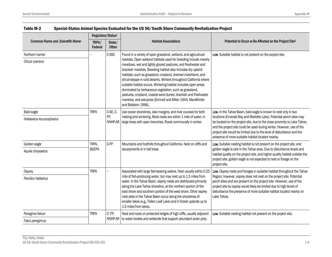|                                 | Regulatory Status <sup>1</sup> |                                                                                                                                                                                                                                 |                                                                                                                                                                                                                                                                                                                                                                                                                                                                                                                                                                                                                              |                                                                                                                                                                                                                                                                                                                                                          |
|---------------------------------|--------------------------------|---------------------------------------------------------------------------------------------------------------------------------------------------------------------------------------------------------------------------------|------------------------------------------------------------------------------------------------------------------------------------------------------------------------------------------------------------------------------------------------------------------------------------------------------------------------------------------------------------------------------------------------------------------------------------------------------------------------------------------------------------------------------------------------------------------------------------------------------------------------------|----------------------------------------------------------------------------------------------------------------------------------------------------------------------------------------------------------------------------------------------------------------------------------------------------------------------------------------------------------|
| Common Name and Scientific Name | TRPA/<br>Federal               | State/<br><b>Other</b>                                                                                                                                                                                                          | <b>Habitat Associations</b>                                                                                                                                                                                                                                                                                                                                                                                                                                                                                                                                                                                                  | Potential to Occur or Be Affected on the Project Site <sup>2</sup>                                                                                                                                                                                                                                                                                       |
| Northern harrier                |                                | C-SSC                                                                                                                                                                                                                           | Found in a variety of open grassland, wetland, and agricultural                                                                                                                                                                                                                                                                                                                                                                                                                                                                                                                                                              | Low. Suitable habitat is not present on the project site.                                                                                                                                                                                                                                                                                                |
| Circus cyaneus                  |                                |                                                                                                                                                                                                                                 | habitats. Open wetland habitats used for breeding include marshy<br>meadows, wet and lightly grazed pastures, and freshwater and<br>brackish marshes. Breeding habitat also includes dry upland<br>habitats, such as grassland, cropland, drained marshland, and<br>shrub-steppe in cold deserts. Winters throughout California where<br>suitable habitat occurs. Wintering habitat includes open areas<br>dominated by herbaceous vegetation, such as grassland,<br>pastures, cropland, coastal sand dunes, brackish and freshwater<br>marshes, and estuaries (Grinnell and Miller 1944, MacWhirter<br>and Bildstein 1996). |                                                                                                                                                                                                                                                                                                                                                          |
| Bald eagle                      | <b>TRPA</b>                    | C-SE, C-<br>Use ocean shorelines, lake margins, and river courses for both<br>FP,<br>nesting and wintering. Most nests are within 1 mile of water, in<br>NNHP-AR<br>large trees with open branches. Roost communally in winter. | Low. In the Tahoe Basin, bald eagle is known to nest only in two                                                                                                                                                                                                                                                                                                                                                                                                                                                                                                                                                             |                                                                                                                                                                                                                                                                                                                                                          |
| Haliaeetus leucocephalus        |                                |                                                                                                                                                                                                                                 |                                                                                                                                                                                                                                                                                                                                                                                                                                                                                                                                                                                                                              | locations (Emerald Bay and Marlette Lake). Potential perch sites may<br>be located on the project site, due to the close proximity to Lake Tahoe,<br>and the project site could be used during winter. However, use of the<br>project site would be limited due to the level of disturbance and the<br>presence of more suitable habitat located nearby. |
| Golden eagle                    | TRPA,                          | C-FP                                                                                                                                                                                                                            | Mountains and foothills throughout California. Nest on cliffs and<br>escarpments or in tall trees.                                                                                                                                                                                                                                                                                                                                                                                                                                                                                                                           | Low. Suitable nesting habitat is not present on the project site, and<br>golden eagle is rare in the Tahoe area. Due to disturbance levels and<br>habitat quality on the project site, and higher quality habitat outside the<br>project site, golden eagle is not expected to nest or forage on the<br>project site.                                    |
| Aquila chrysaetos               | <b>BGEPA</b>                   |                                                                                                                                                                                                                                 |                                                                                                                                                                                                                                                                                                                                                                                                                                                                                                                                                                                                                              |                                                                                                                                                                                                                                                                                                                                                          |
| Osprey                          | <b>TRPA</b>                    |                                                                                                                                                                                                                                 | Associated with large fish-bearing waters. Nest usually within 0.25                                                                                                                                                                                                                                                                                                                                                                                                                                                                                                                                                          | Low. Osprey nests and forages in suitable habitat throughout the Tahoe                                                                                                                                                                                                                                                                                   |
| Pandion haliaetus               |                                |                                                                                                                                                                                                                                 | mile of fish-producing water, but may nest up to 1.5 miles from<br>water. In the Tahoe Basin, osprey nests are distributed primarily<br>along the Lake Tahoe shoreline, at the northern portion of the<br>east shore and southern portion of the west shore. Other osprey<br>nest sites in the Tahoe Basin occur along the shorelines of<br>smaller lakes (e.g., Fallen Leaf Lake) and in forest uplands up to<br>1.5 miles from lakes.                                                                                                                                                                                      | Region; however, osprey does not nest on the project site. Potential<br>perch sites and are present on the project site. However, use of the<br>project site by osprey would likely be limited due to high levels of<br>disturbance the presence of more suitable habitat located nearby on<br>Lake Tahoe.                                               |
| Peregrine falcon                | <b>TRPA</b>                    | C-FP,                                                                                                                                                                                                                           | Nest and roost on protected ledges of high cliffs, usually adjacent                                                                                                                                                                                                                                                                                                                                                                                                                                                                                                                                                          | Low. Suitable nesting habitat not present on the project site.                                                                                                                                                                                                                                                                                           |
| Falco peregrinus                |                                |                                                                                                                                                                                                                                 | NNHP-AR to water bodies and wetlands that support abundant avian prey.                                                                                                                                                                                                                                                                                                                                                                                                                                                                                                                                                       |                                                                                                                                                                                                                                                                                                                                                          |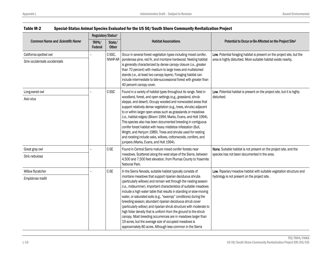| Common Name and Scientific Name | Regulatory Status <sup>1</sup> |                        |                                                                                                                                                                                                                                                                                                                                                                                                                                                                                                                                                                                                                                                                                                                                         |                                                                                                                    |
|---------------------------------|--------------------------------|------------------------|-----------------------------------------------------------------------------------------------------------------------------------------------------------------------------------------------------------------------------------------------------------------------------------------------------------------------------------------------------------------------------------------------------------------------------------------------------------------------------------------------------------------------------------------------------------------------------------------------------------------------------------------------------------------------------------------------------------------------------------------|--------------------------------------------------------------------------------------------------------------------|
|                                 | TRPA/<br>Federal               | State/<br><b>Other</b> | <b>Habitat Associations</b>                                                                                                                                                                                                                                                                                                                                                                                                                                                                                                                                                                                                                                                                                                             | Potential to Occur or Be Affected on the Project Site <sup>2</sup>                                                 |
| California spotted owl          |                                | C-SSC,                 | Occur in several forest vegetation types including mixed conifer,                                                                                                                                                                                                                                                                                                                                                                                                                                                                                                                                                                                                                                                                       | Low. Potential foraging habitat is present on the project site, but the                                            |
| Strix occidentalis occidentalis |                                | NNHP-AR                | ponderosa pine, red fir, and montane hardwood. Nesting habitat<br>is generally characterized by dense canopy closure (i.e., greater<br>than 70 percent) with medium to large trees and multistoried<br>stands (i.e., at least two canopy layers). Foraging habitat can<br>include intermediate to late-successional forest with greater than<br>40 percent canopy cover.                                                                                                                                                                                                                                                                                                                                                                | area is highly disturbed. More suitable habitat exists nearby.                                                     |
| Long-eared owl                  |                                | C-SSC                  | Found in a variety of habitat types throughout its range. Nest in                                                                                                                                                                                                                                                                                                                                                                                                                                                                                                                                                                                                                                                                       | Low. Potential habitat is present on the project site, but it is highly                                            |
| Asio otus                       |                                |                        | woodland, forest, and open settings (e.g., grassland, shrub-<br>steppe, and desert). Occupy wooded and nonwooded areas that<br>support relatively dense vegetation (e.g., trees, shrubs) adjacent<br>to or within larger open areas such as grasslands or meadows<br>(i.e., habitat edges) (Bloom 1994; Marks, Evans, and Holt 1994).<br>This species also has been documented breeding in contiguous<br>conifer forest habitat with heavy mistletoe infestation (Bull,<br>Wright, and Henjum 1989). Trees and shrubs used for nesting<br>and roosting include oaks, willows, cottonwoods, conifers, and<br>junipers (Marks, Evans, and Holt 1994).                                                                                     | disturbed.                                                                                                         |
| Great gray owl                  |                                | C-SE                   | Found in Central Sierra mature mixed conifer forests near<br>meadows. Scattered along the west slope of the Sierra, between<br>4,500 and 7,500 feet elevation, from Plumas County to Yosemite<br>National Park.                                                                                                                                                                                                                                                                                                                                                                                                                                                                                                                         | None. Suitable habitat is not present on the project site, and the<br>species has not been documented in the area. |
| Strix nebulosa                  |                                |                        |                                                                                                                                                                                                                                                                                                                                                                                                                                                                                                                                                                                                                                                                                                                                         |                                                                                                                    |
| Willow flycatcher               |                                | C-SE                   | In the Sierra Nevada, suitable habitat typically consists of                                                                                                                                                                                                                                                                                                                                                                                                                                                                                                                                                                                                                                                                            | Low. Riparian/meadow habitat with suitable vegetation structure and                                                |
| Empidonax traillii              |                                |                        | montane meadows that support riparian deciduous shrubs<br>(particularly willows) and remain wet through the nesting season<br>(i.e., midsummer). Important characteristics of suitable meadows<br>include a high water table that results in standing or slow-moving<br>water, or saturated soils (e.g., "swampy" conditions) during the<br>breeding season; abundant riparian deciduous shrub cover<br>(particularly willow); and riparian shrub structure with moderate to<br>high foliar density that is uniform from the ground to the shrub<br>canopy. Most breeding occurrences are in meadows larger than<br>19 acres, but the average size of occupied meadows is<br>approximately 80 acres. Although less common in the Sierra | hydrology is not present on the project site.                                                                      |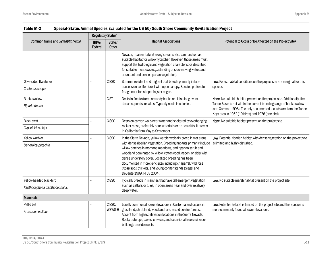|                                 | Regulatory Status <sup>1</sup> |                        |                                                                                                                                                                                                                                                                                                                                                                                                                       |                                                                                                                                                                                                  |
|---------------------------------|--------------------------------|------------------------|-----------------------------------------------------------------------------------------------------------------------------------------------------------------------------------------------------------------------------------------------------------------------------------------------------------------------------------------------------------------------------------------------------------------------|--------------------------------------------------------------------------------------------------------------------------------------------------------------------------------------------------|
| Common Name and Scientific Name | TRPA/<br>Federal               | State/<br><b>Other</b> | <b>Habitat Associations</b>                                                                                                                                                                                                                                                                                                                                                                                           | Potential to Occur or Be Affected on the Project Site <sup>2</sup>                                                                                                                               |
|                                 |                                |                        | Nevada, riparian habitat along streams also can function as<br>suitable habitat for willow flycatcher. However, those areas must<br>support the hydrologic and vegetation characteristics described<br>for suitable meadows (e.g., standing or slow-moving water, and<br>abundant and dense riparian vegetation).                                                                                                     |                                                                                                                                                                                                  |
| Olive-sided flycatcher          |                                | C-SSC                  | Summer resident and migrant that breeds primarily in late-                                                                                                                                                                                                                                                                                                                                                            | Low. Forest habitat conditions on the project site are marginal for this                                                                                                                         |
| Contopus cooperi                |                                |                        | succession conifer forest with open canopy. Species prefers to<br>forage near forest openings or edges.                                                                                                                                                                                                                                                                                                               | species.                                                                                                                                                                                         |
| <b>Bank swallow</b>             |                                | C-ST                   | Nests in fine-textured or sandy banks or cliffs along rivers,                                                                                                                                                                                                                                                                                                                                                         | None. No suitable habitat present on the project site. Additionally, the                                                                                                                         |
| Riparia riparia                 |                                |                        | streams, ponds, or lakes. Typically nests in colonies.                                                                                                                                                                                                                                                                                                                                                                | Tahoe Basin is not within the current breeding range of bank swallow<br>(see Garrison 1998). The only documented records are from the Tahoe<br>Keys area in 1962 (10 birds) and 1976 (one bird). |
| <b>Black swift</b>              |                                | C-SSC                  | Nests on canyon walls near water and sheltered by overhanging<br>rock or moss, preferably near waterfalls or on sea cliffs. It breeds<br>in California from May to September.                                                                                                                                                                                                                                         | None. No suitable habitat present on the project site.                                                                                                                                           |
| Cypseloides niger               |                                |                        |                                                                                                                                                                                                                                                                                                                                                                                                                       |                                                                                                                                                                                                  |
| Yellow warbler                  |                                | C-SSC                  | In the Sierra Nevada, yellow warbler typically breed in wet areas                                                                                                                                                                                                                                                                                                                                                     | Low. Potential riparian habitat with dense vegetation on the project site                                                                                                                        |
| Dendroica petechia              |                                |                        | with dense riparian vegetation. Breeding habitats primarily include<br>willow patches in montane meadows, and riparian scrub and<br>woodland dominated by willow, cottonwood, aspen, or alder with<br>dense understory cover. Localized breeding has been<br>documented in more xeric sites including chaparral, wild rose<br>(Rosa spp.) thickets, and young conifer stands (Siegel and<br>DeSante 1999, RHJV 2004). | is limited and highly disturbed.                                                                                                                                                                 |
| Yellow-headed blackbird         |                                | C-SSC                  | Typically breeds in marshes that have tall emergent vegetation                                                                                                                                                                                                                                                                                                                                                        | Low. No suitable marsh habitat present on the project site.                                                                                                                                      |
| Xanthocephalus xanthocephalus   |                                |                        | such as cattails or tules, in open areas near and over relatively<br>deep water.                                                                                                                                                                                                                                                                                                                                      |                                                                                                                                                                                                  |
| <b>Mammals</b>                  |                                |                        |                                                                                                                                                                                                                                                                                                                                                                                                                       |                                                                                                                                                                                                  |
| Pallid bat                      |                                | C-SSC,                 | Locally common at lower elevations in California and occurs in                                                                                                                                                                                                                                                                                                                                                        | Low. Potential habitat is limited on the project site and this species is                                                                                                                        |
| Antrozous pallidus              |                                | WBWG-H                 | grassland, shrubland, woodland, and mixed conifer forests.<br>Absent from highest elevation locations in the Sierra Nevada.<br>Rocky outcrops, caves, crevices, and occasional tree cavities or<br>buildings provide roosts.                                                                                                                                                                                          | more commonly found at lower elevations.                                                                                                                                                         |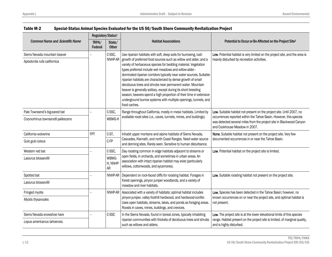|                                    | Regulatory Status <sup>1</sup> |                         |                                                                                                                                                                                                                                                                                                                                                                                                                                                                                                                                                                                                                            |                                                                                                                                                                             |
|------------------------------------|--------------------------------|-------------------------|----------------------------------------------------------------------------------------------------------------------------------------------------------------------------------------------------------------------------------------------------------------------------------------------------------------------------------------------------------------------------------------------------------------------------------------------------------------------------------------------------------------------------------------------------------------------------------------------------------------------------|-----------------------------------------------------------------------------------------------------------------------------------------------------------------------------|
| Common Name and Scientific Name    | TRPA/<br>Federal               | State/<br><b>Other</b>  | <b>Habitat Associations</b>                                                                                                                                                                                                                                                                                                                                                                                                                                                                                                                                                                                                | Potential to Occur or Be Affected on the Project Site <sup>2</sup>                                                                                                          |
| Sierra Nevada mountain beaver      |                                | C-SSC,                  | Use riparian habitats with soft, deep soils for burrowing, lush                                                                                                                                                                                                                                                                                                                                                                                                                                                                                                                                                            | Low. Potential habitat is very limited on the project site, and the area is                                                                                                 |
| Aplodontia rufa californica        |                                | NNHP-AR                 | growth of preferred food sources such as willow and alder, and a<br>variety of herbaceous species for bedding material. Vegetation<br>types preferred include wet meadows and willow-alder-<br>dominated riparian corridors typically near water sources. Suitable<br>riparian habitats are characterized by dense growth of small<br>deciduous trees and shrubs near permanent water. Mountain<br>beaver is generally solitary, except during its short breeding<br>season; beavers spend a high proportion of their time in extensive<br>underground burrow systems with multiple openings, tunnels, and<br>food caches. | heavily disturbed by recreation activities.                                                                                                                                 |
| Pale Townsend's big-eared bat      |                                | C-SSC,                  | Range throughout California, mostly in mesic habitats. Limited by                                                                                                                                                                                                                                                                                                                                                                                                                                                                                                                                                          | Low. Suitable habitat not present on the project site. Until 2007, no                                                                                                       |
| Corynorhinus townsendii pallescens |                                | WBWG-H                  | available roost sites (i.e., caves, tunnels, mines, and buildings).                                                                                                                                                                                                                                                                                                                                                                                                                                                                                                                                                        | occurrences reported within the Tahoe Basin. However, this species<br>was detected several miles from the project site in Blackwood Canyon<br>and Cookhouse Meadow in 2007. |
| California wolverine               | <b>FPT</b>                     | C-ST,                   | Inhabit upper montane and alpine habitats of Sierra Nevada,<br>Cascades, Klamath, and north Coast Ranges. Need water source<br>and denning sites. Rarely seen. Sensitive to human disturbance.                                                                                                                                                                                                                                                                                                                                                                                                                             | None. Suitable habitat not present on the project site. Very few                                                                                                            |
| Gulo gulo luteus                   |                                | C-FP                    |                                                                                                                                                                                                                                                                                                                                                                                                                                                                                                                                                                                                                            | documented occurrences in or near the Tahoe Basin.                                                                                                                          |
| Western red bat                    |                                | C-SSC,                  | Day roosting common in edge habitats adjacent to streams or<br>open fields, in orchards, and sometimes in urban areas. An<br>association with intact riparian habitat may exist (particularly<br>willows, cottonwoods, and sycamores).                                                                                                                                                                                                                                                                                                                                                                                     | Low. Potential habitat on the project site is limited.                                                                                                                      |
| Lasiurus blossevillii              |                                | WBWG-<br>H, NNHP-<br>AR |                                                                                                                                                                                                                                                                                                                                                                                                                                                                                                                                                                                                                            |                                                                                                                                                                             |
| Spotted bat                        |                                | NNHP-AR                 | Dependent on rock-faced cliffs for roosting habitat. Forages in                                                                                                                                                                                                                                                                                                                                                                                                                                                                                                                                                            | Low. Suitable roosting habitat not present on the project site.                                                                                                             |
| Lasiurus blossevillii              |                                |                         | forest openings, pinyon juniper woodlands, and a variety of<br>meadow and river habitats.                                                                                                                                                                                                                                                                                                                                                                                                                                                                                                                                  |                                                                                                                                                                             |
| Fringed myotis                     |                                | NNHP-AR                 | Associated with a variety of habitats; optimal habitat includes                                                                                                                                                                                                                                                                                                                                                                                                                                                                                                                                                            | Low. Species has been detected in the Tahoe Basin; however, no<br>known occurrences on or near the project site, and optimal habitat is<br>not present.                     |
| Myotis thysanodes                  |                                |                         | pinyon-juniper, valley foothill hardwood, and hardwood-conifer.<br>Uses open habitats, streams, lakes, and ponds as foraging areas.<br>Roosts in caves, mines, buildings, and crevices.                                                                                                                                                                                                                                                                                                                                                                                                                                    |                                                                                                                                                                             |
| Sierra Nevada snowshoe hare        |                                | C-SSC                   | In the Sierra Nevada, found in boreal zones, typically inhabiting                                                                                                                                                                                                                                                                                                                                                                                                                                                                                                                                                          | Low. The project site is at the lower elevational limits of this species                                                                                                    |
| Lepus americanus tahoensis.        |                                |                         | riparian communities with thickets of deciduous trees and shrubs<br>such as willows and alders.                                                                                                                                                                                                                                                                                                                                                                                                                                                                                                                            | range. Habitat present on the project site is limited, of marginal quality,<br>and is highly disturbed.                                                                     |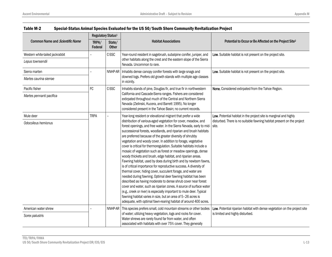|                                 | Regulatory Status <sup>1</sup> |                        | <b>Habitat Associations</b>                                                                                                                                                                                                                                                                                                                                                                                                                                                                                                                                                                                                                                                                                                                                                                                                                                                                                                                                                                                                                                                                                                                                                  |                                                                                 |
|---------------------------------|--------------------------------|------------------------|------------------------------------------------------------------------------------------------------------------------------------------------------------------------------------------------------------------------------------------------------------------------------------------------------------------------------------------------------------------------------------------------------------------------------------------------------------------------------------------------------------------------------------------------------------------------------------------------------------------------------------------------------------------------------------------------------------------------------------------------------------------------------------------------------------------------------------------------------------------------------------------------------------------------------------------------------------------------------------------------------------------------------------------------------------------------------------------------------------------------------------------------------------------------------|---------------------------------------------------------------------------------|
| Common Name and Scientific Name | TRPA/<br>Federal               | State/<br><b>Other</b> |                                                                                                                                                                                                                                                                                                                                                                                                                                                                                                                                                                                                                                                                                                                                                                                                                                                                                                                                                                                                                                                                                                                                                                              | Potential to Occur or Be Affected on the Project Site <sup>2</sup>              |
| Western white-tailed jackrabbit |                                | C-SSC                  | Year-round resident in sagebrush, subalpine conifer, juniper, and                                                                                                                                                                                                                                                                                                                                                                                                                                                                                                                                                                                                                                                                                                                                                                                                                                                                                                                                                                                                                                                                                                            | Low. Suitable habitat is not present on the project site.                       |
| Lepus townsendii                |                                |                        | other habitats along the crest and the eastern slope of the Sierra<br>Nevada. Uncommon to rare.                                                                                                                                                                                                                                                                                                                                                                                                                                                                                                                                                                                                                                                                                                                                                                                                                                                                                                                                                                                                                                                                              |                                                                                 |
| Sierra marten                   |                                | NNHP-AR                | Inhabits dense canopy conifer forests with large snags and                                                                                                                                                                                                                                                                                                                                                                                                                                                                                                                                                                                                                                                                                                                                                                                                                                                                                                                                                                                                                                                                                                                   | Low. Suitable habitat is not present on the project site.                       |
| Martes caurina sierrae          |                                |                        | downed logs. Prefers old growth stands with multiple age classes<br>in vicinity.                                                                                                                                                                                                                                                                                                                                                                                                                                                                                                                                                                                                                                                                                                                                                                                                                                                                                                                                                                                                                                                                                             |                                                                                 |
| Pacific fisher                  | FC                             | C-SSC                  | Inhabits stands of pine, Douglas fir, and true fir in northwestern                                                                                                                                                                                                                                                                                                                                                                                                                                                                                                                                                                                                                                                                                                                                                                                                                                                                                                                                                                                                                                                                                                           | None. Considered extirpated from the Tahoe Region.                              |
| Martes pennanti pacifica        |                                |                        | California and Cascade-Sierra ranges. Fishers are considered<br>extirpated throughout much of the Central and Northern Sierra<br>Nevada (Zielinski, Kucera, and Barrett 1995). No longer<br>considered present in the Tahoe Basin; no current records.                                                                                                                                                                                                                                                                                                                                                                                                                                                                                                                                                                                                                                                                                                                                                                                                                                                                                                                       |                                                                                 |
| Mule deer                       | <b>TRPA</b>                    |                        | Year-long resident or elevational migrant that prefer a wide                                                                                                                                                                                                                                                                                                                                                                                                                                                                                                                                                                                                                                                                                                                                                                                                                                                                                                                                                                                                                                                                                                                 | Low. Potential habitat in the project site is marginal and highly               |
| Odocoileus hemionus             |                                |                        | distribution of various-aged vegetation for cover, meadow, and<br>forest openings, and free water. In the Sierra Nevada, early to mid-<br>successional forests, woodlands, and riparian and brush habitats<br>are preferred because of the greater diversity of shrubby<br>vegetation and woody cover. In addition to forage, vegetative<br>cover is critical for thermoregulation. Suitable habitats include a<br>mosaic of vegetation such as forest or meadow openings, dense<br>woody thickets and brush, edge habitat, and riparian areas.<br>Fawning habitat, used by does during birth and by newborn fawns,<br>is of critical importance for reproductive success. A diversity of<br>thermal cover, hiding cover, succulent forage, and water are<br>needed during fawning. Optimal deer fawning habitat has been<br>described as having moderate to dense shrub cover near forest<br>cover and water, such as riparian zones. A source of surface water<br>(e.g., creek or river) is especially important to mule deer. Typical<br>fawning habitat varies in size, but an area of 5-26 acres is<br>adequate, with optimal fawn-rearing habitat of around 400 acres. | disturbed. There is no suitable fawning habitat present on the project<br>site. |
| American water shrew            |                                | NNHP-AR                | This species prefers small, cold mountain streams or other bodies                                                                                                                                                                                                                                                                                                                                                                                                                                                                                                                                                                                                                                                                                                                                                                                                                                                                                                                                                                                                                                                                                                            | Low. Potential riparian habitat with dense vegetation on the project site       |
| Sorex palustris                 |                                |                        | of water; utilizing heavy vegetation, logs and rocks for cover.<br>Water shrews are rarely found far from water, and often<br>associated with habitats with over 75% cover. They generally                                                                                                                                                                                                                                                                                                                                                                                                                                                                                                                                                                                                                                                                                                                                                                                                                                                                                                                                                                                   | is limited and highly disturbed.                                                |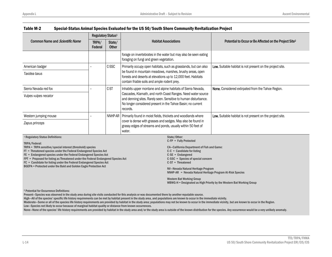|                                                                                                                                                                                                                                                                                                                                                                                                                                                                                                                                                                                                           | Regulatory Status <sup>1</sup> |                        |                                                                                                                                                                                                                                                |                                                                                                                                                                                                                                                                     |  |
|-----------------------------------------------------------------------------------------------------------------------------------------------------------------------------------------------------------------------------------------------------------------------------------------------------------------------------------------------------------------------------------------------------------------------------------------------------------------------------------------------------------------------------------------------------------------------------------------------------------|--------------------------------|------------------------|------------------------------------------------------------------------------------------------------------------------------------------------------------------------------------------------------------------------------------------------|---------------------------------------------------------------------------------------------------------------------------------------------------------------------------------------------------------------------------------------------------------------------|--|
| Common Name and Scientific Name                                                                                                                                                                                                                                                                                                                                                                                                                                                                                                                                                                           | TRPA/<br>Federal               | State/<br><b>Other</b> | <b>Habitat Associations</b>                                                                                                                                                                                                                    | Potential to Occur or Be Affected on the Project Site <sup>2</sup>                                                                                                                                                                                                  |  |
|                                                                                                                                                                                                                                                                                                                                                                                                                                                                                                                                                                                                           |                                |                        | forage on invertebrates in the water but may also be seen eating<br>foraging on fungi and green vegetation.                                                                                                                                    |                                                                                                                                                                                                                                                                     |  |
| American badger                                                                                                                                                                                                                                                                                                                                                                                                                                                                                                                                                                                           | C-SSC                          |                        | Primarily occupy open habitats, such as grasslands, but can also<br>be found in mountain meadows, marshes, brushy areas, open<br>forests and deserts at elevations up to 12,000 feet. Habitats<br>contain friable soils and ample rodent prey. | Low. Suitable habitat is not present on the project site.                                                                                                                                                                                                           |  |
| Taxidea taxus                                                                                                                                                                                                                                                                                                                                                                                                                                                                                                                                                                                             |                                |                        |                                                                                                                                                                                                                                                |                                                                                                                                                                                                                                                                     |  |
| Sierra Nevada red fox                                                                                                                                                                                                                                                                                                                                                                                                                                                                                                                                                                                     | C-ST                           |                        | Inhabits upper montane and alpine habitats of Sierra Nevada,                                                                                                                                                                                   | None. Considered extirpated from the Tahoe Region.                                                                                                                                                                                                                  |  |
| Vulpes vulpes necator                                                                                                                                                                                                                                                                                                                                                                                                                                                                                                                                                                                     |                                |                        | Cascades, Klamath, and north Coast Ranges. Need water source<br>and denning sites. Rarely seen. Sensitive to human disturbance.<br>No longer considered present in the Tahoe Basin; no current<br>records.                                     |                                                                                                                                                                                                                                                                     |  |
| Western jumping mouse                                                                                                                                                                                                                                                                                                                                                                                                                                                                                                                                                                                     |                                | NNHP-AR                | Primarily found in moist fields, thickets and woodlands where<br>cover is dense with grasses and sedges. May also be found in<br>grassy edges of streams and ponds, usually within 50 feet of<br>water.                                        | Low. Suitable habitat is not present on the project site.                                                                                                                                                                                                           |  |
| Zapus princeps                                                                                                                                                                                                                                                                                                                                                                                                                                                                                                                                                                                            |                                |                        |                                                                                                                                                                                                                                                |                                                                                                                                                                                                                                                                     |  |
| <sup>1</sup> Regulatory Status Definitions:<br>State/Other:<br>$C$ -FP = Fully Protected                                                                                                                                                                                                                                                                                                                                                                                                                                                                                                                  |                                |                        |                                                                                                                                                                                                                                                |                                                                                                                                                                                                                                                                     |  |
| TRPA/Federal:<br>TRPA = TRPA sensitive/special interest (threshold) species<br>$FT = Threated species under the Federal Endanged Species Act$<br>FE = Endangered species under the Federal Endangered Species Act<br>FPT = Proposed for listing as Threatened under the Federal Endangered Species Act<br>FC = Candidate for listing under the Federal Endangered Species Act<br>BGEPA = Protected under the Bald and Golden Eagle Protection Act                                                                                                                                                         |                                |                        | $C-C =$ Candidate for listing<br>$C-SE = Endanged$<br>$C-ST = Threated$<br><b>Western Bat Working Group</b>                                                                                                                                    | <b>CA-California Department of Fish and Game:</b><br>C-SSC = Species of special concern<br>NV-Nevada Natural Heritage Program<br>NNHP-AR = Nevada Natural Heritage Program At-Risk Species<br>WBWG-H = Designated as High Priority by the Western Bat Working Group |  |
| <sup>2</sup> Potential for Occurrence Definitions:<br>Present-Species was observed in the study area during site visits conducted for this analysis or was documented there by another reputable source.<br>High-All of the species' specific life history requirements can be met by habitat present in the study area, and populations are known to occur in the immediate vicinity.<br>Moderate-Some or all of the species life history requirements are provided by habitat in the study area; populations may not be known to occur in the immediate vicinity, but are known to occur in the Region. |                                |                        |                                                                                                                                                                                                                                                |                                                                                                                                                                                                                                                                     |  |

Low—Species not likely to occur because of marginal habitat quality or distance from known occurrences.

None—None of the species' life history requirements are provided by habitat in the study area and/or the study area is outside of the known distribution for the species. Any occurrence would be a very unlikely anomaly.